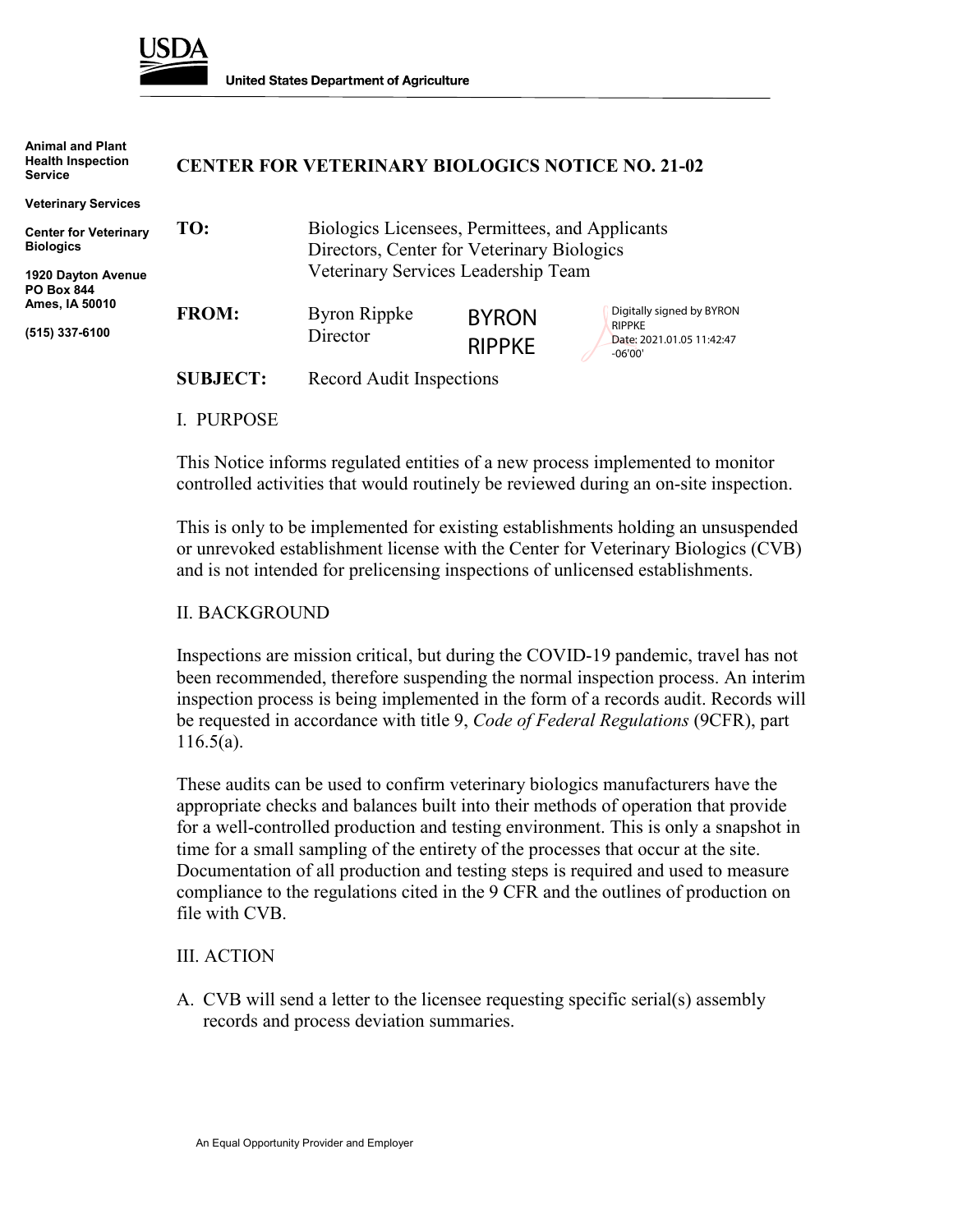

**Animal and Plant**

**United States Department of Agriculture** 

| Animal and Plant<br><b>Health Inspection</b><br><b>Service</b> | <b>CENTER FOR VETERINARY BIOLOGICS NOTICE NO. 21-02</b> |                                                                                               |               |                                            |
|----------------------------------------------------------------|---------------------------------------------------------|-----------------------------------------------------------------------------------------------|---------------|--------------------------------------------|
| <b>Veterinary Services</b>                                     |                                                         |                                                                                               |               |                                            |
| <b>Center for Veterinary</b><br><b>Biologics</b>               | TO:                                                     | Biologics Licensees, Permittees, and Applicants<br>Directors, Center for Veterinary Biologics |               |                                            |
| 1920 Dayton Avenue<br><b>PO Box 844</b>                        |                                                         | Veterinary Services Leadership Team                                                           |               |                                            |
| Ames, IA 50010                                                 | <b>FROM:</b>                                            | Byron Rippke                                                                                  | <b>BYRON</b>  | Digitally signed by BYRON<br><b>RIPPKE</b> |
| (515) 337-6100                                                 |                                                         | Director                                                                                      | <b>RIPPKE</b> | Date: 2021.01.05 11:42:47<br>$-06'00'$     |
|                                                                | <b>SUBJECT:</b>                                         | Record Audit Inspections                                                                      |               |                                            |
|                                                                |                                                         |                                                                                               |               |                                            |

I. PURPOSE

This Notice informs regulated entities of a new process implemented to monitor controlled activities that would routinely be reviewed during an on-site inspection.

This is only to be implemented for existing establishments holding an unsuspended or unrevoked establishment license with the Center for Veterinary Biologics (CVB) and is not intended for prelicensing inspections of unlicensed establishments.

## II. BACKGROUND

Inspections are mission critical, but during the COVID-19 pandemic, travel has not been recommended, therefore suspending the normal inspection process. An interim inspection process is being implemented in the form of a records audit. Records will be requested in accordance with title 9, *Code of Federal Regulations* (9CFR), part 116.5(a).

These audits can be used to confirm veterinary biologics manufacturers have the appropriate checks and balances built into their methods of operation that provide for a well-controlled production and testing environment. This is only a snapshot in time for a small sampling of the entirety of the processes that occur at the site. Documentation of all production and testing steps is required and used to measure compliance to the regulations cited in the 9 CFR and the outlines of production on file with CVB.

## III. ACTION

A. CVB will send a letter to the licensee requesting specific serial(s) assembly records and process deviation summaries.